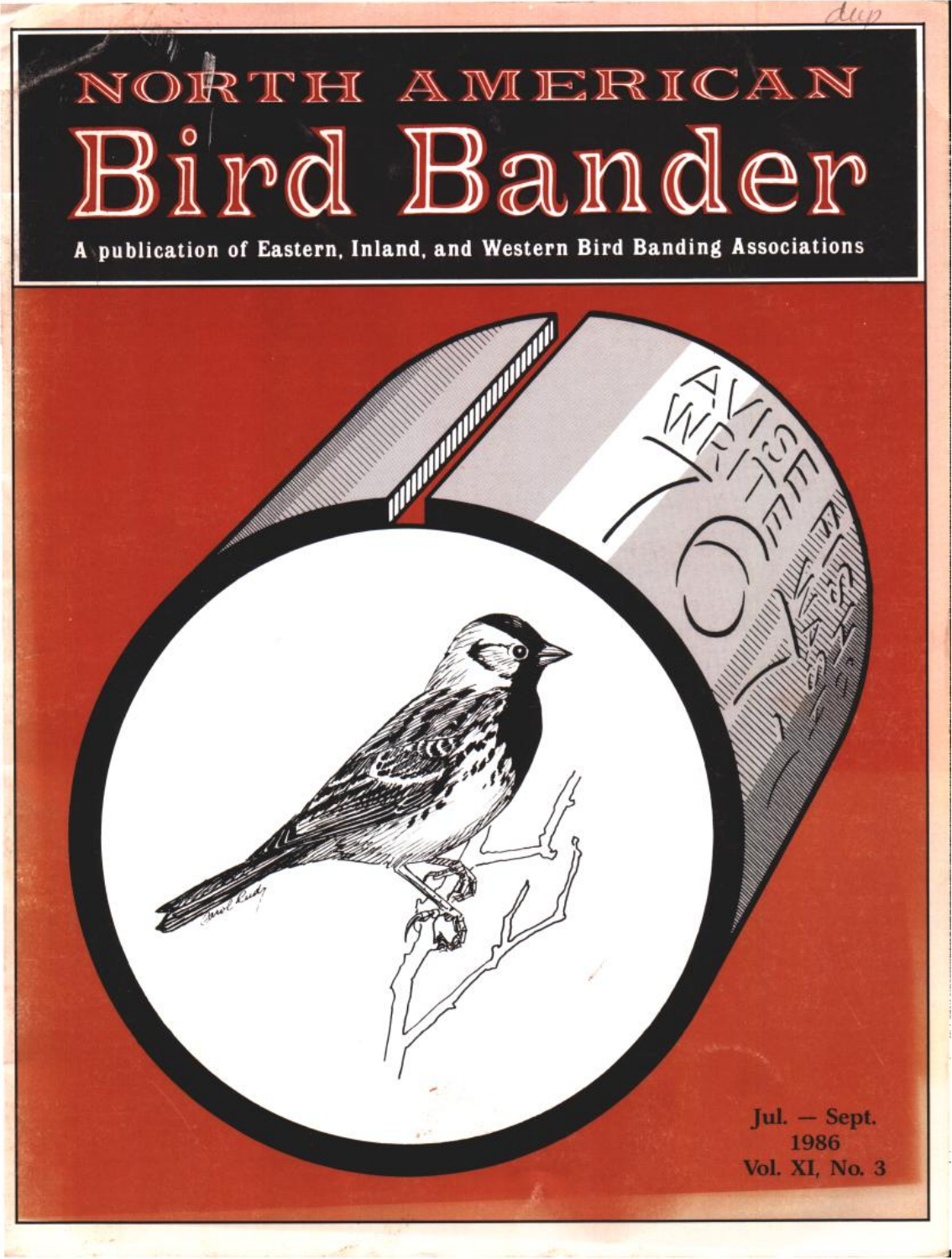# NORTH AMERICAN Bird Bander

 $1112$ 

**A•publication of Eastern. Inland, and Western Bird Banding Associations** 

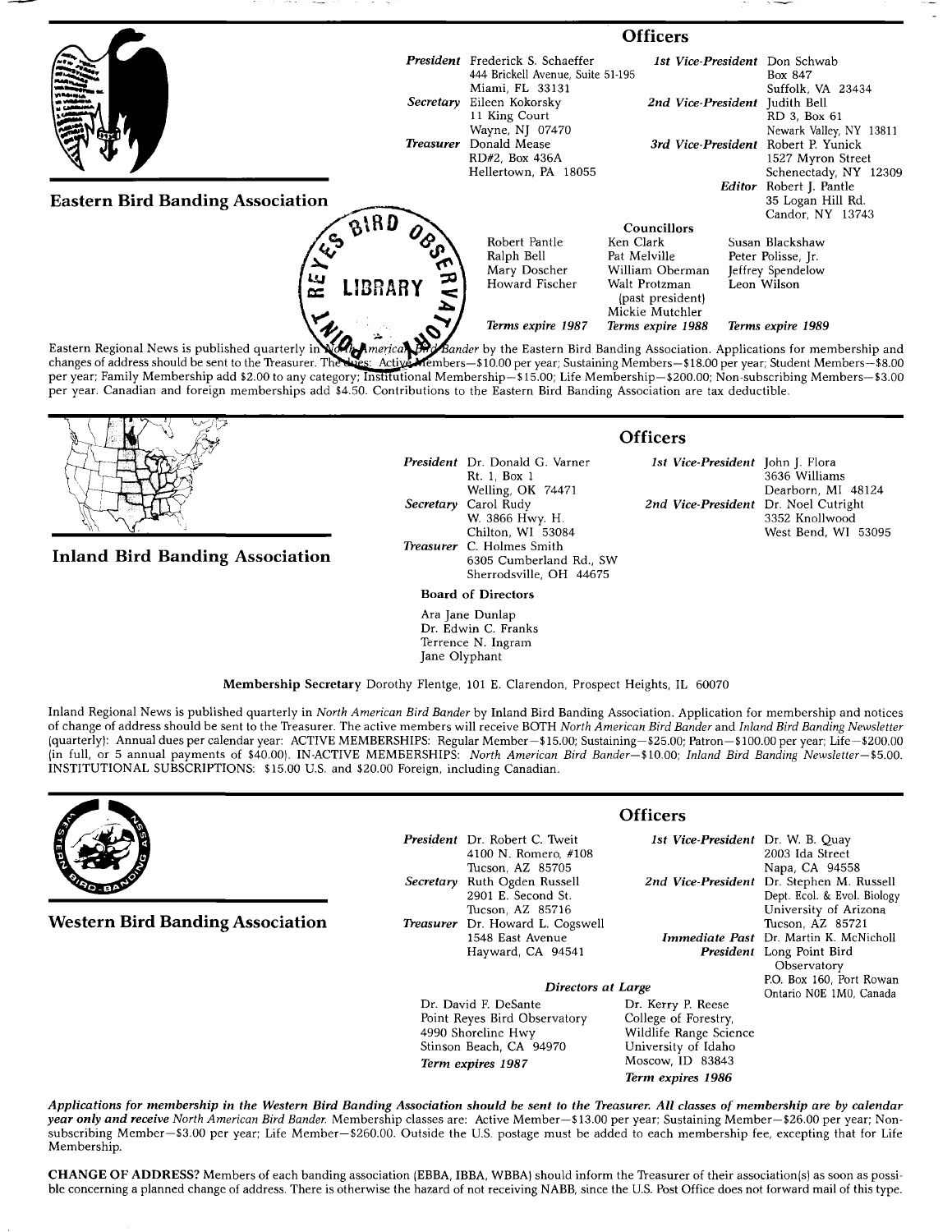

changes of address should be sent to the Treasurer. The Lues: Active Members-\$10.00 per year; Sustaining Members-\$18.00 per year; Student Members-\$8.00 changes of address should be sent to the Treasurer. The Lues: Active Members—\$10.00 per year; Sustaining Members—\$18.00 per year; Student Members—\$8.00<br>per year; Family Membership add \$2.00 to any category; Institutional M **per year. Canadian and foreign memberships add \$4.50. Contributions to the Eastern Bird Banding Association are tax deductible.** 



**Inland Bird Banding Association** 

**President Dr. Donald G. Varner Rt. 1, Box 1 Welling, OK 74471 Secretary Carol Rudy W. 3866 Hwy. H. Chilton, WI 53084 Treasurer C. Holmes Smith 6305 Cumberland Rd., SW Sherrodsville, OH 44675** 

#### **Board of Directors**

**Ara Jane Dunlap Dr. Edwin C. Franks Terrence N. Ingram Jane Olyphant** 

### **Officers**

**1st Vice-President John J. Flora 3636 Williams Dearborn, MI 48124**  2nd Vice-President Dr. Noel Cutright **3352 Knollwood West Bend, WI 53095** 

**Membership Secretary Dorothy Flentge, 101 E. Clarendon, Prospect Heights, IL 60070** 

**Inland Regional News is published quarterly in North American Bird Bander by Inland Bird Banding Association. Application for membership and notices of change of address should be sent to the Treasurer. The active members will receive BOTH North American Bird Bander and Inland Bird Banding Newsletter Iquarterly): Annual dues per calendar year: ACTIVE MEMBERSHIPS: Regular Member--\$15.00; Sustaining--S25.00; Patron--\$100.00 per year; Life--S200.00**  (in full, or 5 annual payments of \$40.00). IN-ACTIVE MEMBERSHIPS: North American Bird Bander-\$10.00; Inland Bird Banding Newsletter--\$5.00. **INSTITUTIONAL SUBSCRIPTIONS: \$15.00 U.S. and \$20.00 Foreign, including Canadian.** 



**Western Bird Banding Association** 

**President Dr. Robert C. Tweit 4100 N. Romero, #108 Tucson, AZ 85705 Secretary Ruth Ogden Russell 2901 E. Second St. Tucson, AZ 85716**  Treasurer Dr. Howard L. Cogsw **1548 East Avenue Hayward, CA 94541** 

## **Officers**

**Term expires 1986** 

|                              | <i>esident</i> Dr. Robert C. Tweit | 1st Vice-President Dr. W. B. Quay |                                               |
|------------------------------|------------------------------------|-----------------------------------|-----------------------------------------------|
|                              | 4100 N. Romero, #108               |                                   | 2003 Ida Street                               |
|                              | Tucson, AZ 85705                   |                                   | Napa, CA 94558                                |
|                              | <i>cretary</i> Ruth Ogden Russell  |                                   | 2nd Vice-President Dr. Stephen M. Russell     |
|                              | 2901 E. Second St.                 |                                   | Dept. Ecol. & Evol. Biology                   |
|                              | Tucson, AZ 85716                   |                                   | University of Arizona                         |
|                              | easurer Dr. Howard L. Cogswell     |                                   | Tucson, AZ 85721                              |
|                              | 1548 East Avenue                   |                                   | <b>Immediate Past</b> Dr. Martin K. McNicholl |
|                              | Hayward, CA 94541                  |                                   | <b>President</b> Long Point Bird              |
|                              |                                    |                                   | Observatory                                   |
|                              |                                    | P.O. Box 160, Port Rowan          |                                               |
| Directors at Large           |                                    |                                   | Ontario N0E 1M0, Canada                       |
| Dr. David F. DeSante         |                                    | Dr. Kerry P. Reese                |                                               |
| Point Reyes Bird Observatory |                                    | College of Forestry,              |                                               |
| 4990 Shoreline Hwy           |                                    | Wildlife Range Science            |                                               |
| Stinson Beach, CA 94970      |                                    | University of Idaho               |                                               |
| Torm ovniros 1087            |                                    | Moscow. ID 83843                  |                                               |

Applications for membership in the Western Bird Banding Association should be sent to the Treasurer. All classes of membership are by calendar year only and receive North American Bird Bander. Membership classes are: Active Member-\$13.00 per year; Sustaining Member-\$26.00 per year; Non**subscribing Member--S3.00 per year; Life Member--S260.00. Outside the U.S. postage must be added to each membership fee, excepting that for Life Membership.** 

**Term expires 1987** 

CHANGE OF ADDRESS? Members of each banding association (EBBA, IBBA, WBBA) should inform the Treasurer of their association(s) as soon as possi**ble concerning a planned change of address. There is otherwise the hazard of not receiving NABB, since the U.S. Post Office does not forward mail of this type.**